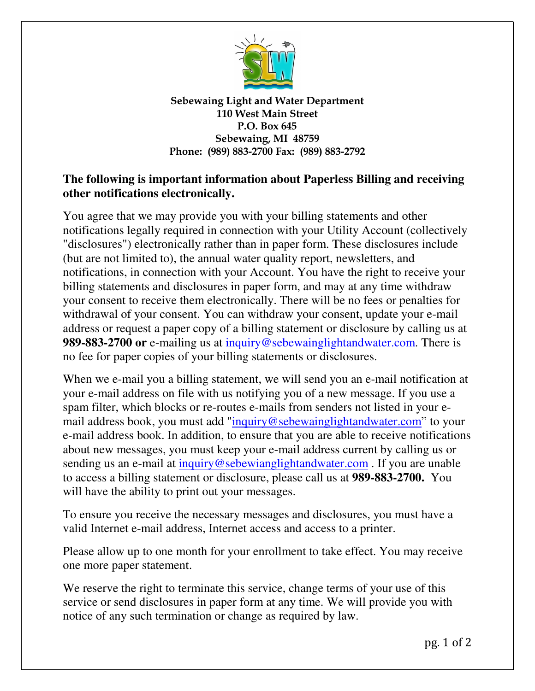

Sebewaing Light and Water Department 110 West Main Street P.O. Box 645 Sebewaing, MI 48759 Phone: (989) 883-2700 Fax: (989) 883-2792

## **The following is important information about Paperless Billing and receiving other notifications electronically.**

You agree that we may provide you with your billing statements and other notifications legally required in connection with your Utility Account (collectively "disclosures") electronically rather than in paper form. These disclosures include (but are not limited to), the annual water quality report, newsletters, and notifications, in connection with your Account. You have the right to receive your billing statements and disclosures in paper form, and may at any time withdraw your consent to receive them electronically. There will be no fees or penalties for withdrawal of your consent. You can withdraw your consent, update your e-mail address or request a paper copy of a billing statement or disclosure by calling us at **989-883-2700 or** e-mailing us at inquiry@sebewainglightandwater.com. There is no fee for paper copies of your billing statements or disclosures.

When we e-mail you a billing statement, we will send you an e-mail notification at your e-mail address on file with us notifying you of a new message. If you use a spam filter, which blocks or re-routes e-mails from senders not listed in your email address book, you must add "inquiry@sebewainglightandwater.com" to your e-mail address book. In addition, to ensure that you are able to receive notifications about new messages, you must keep your e-mail address current by calling us or sending us an e-mail at inquiry@sebewianglightandwater.com. If you are unable to access a billing statement or disclosure, please call us at **989-883-2700.** You will have the ability to print out your messages.

To ensure you receive the necessary messages and disclosures, you must have a valid Internet e-mail address, Internet access and access to a printer.

Please allow up to one month for your enrollment to take effect. You may receive one more paper statement.

We reserve the right to terminate this service, change terms of your use of this service or send disclosures in paper form at any time. We will provide you with notice of any such termination or change as required by law.